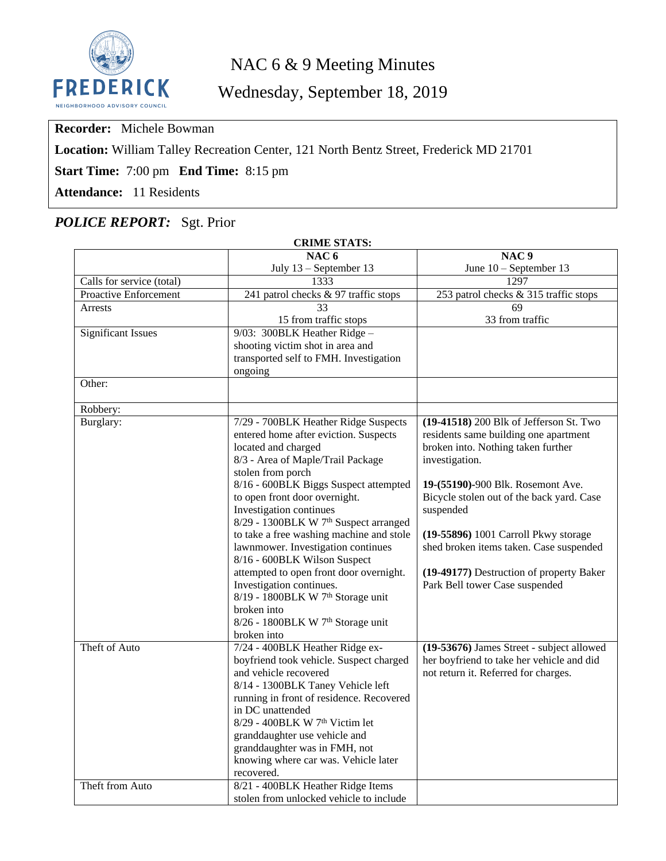

# NAC 6 & 9 Meeting Minutes

Wednesday, September 18, 2019

**Recorder:** Michele Bowman

**Location:** William Talley Recreation Center, 121 North Bentz Street, Frederick MD 21701

**Start Time:** 7:00 pm **End Time:** 8:15 pm

**Attendance:** 11 Residents

## *POLICE REPORT:* Sgt. Prior

| <b>CRIME STATS:</b>       |                                                                       |                                           |  |  |  |  |  |
|---------------------------|-----------------------------------------------------------------------|-------------------------------------------|--|--|--|--|--|
|                           | NAC <sub>6</sub>                                                      | NAC <sub>9</sub>                          |  |  |  |  |  |
|                           | July 13 - September 13                                                | June 10 - September 13                    |  |  |  |  |  |
| Calls for service (total) | 1333                                                                  | 1297                                      |  |  |  |  |  |
| Proactive Enforcement     | 241 patrol checks & 97 traffic stops                                  | 253 patrol checks & 315 traffic stops     |  |  |  |  |  |
| <b>Arrests</b>            | 33                                                                    | 69                                        |  |  |  |  |  |
|                           | 15 from traffic stops                                                 | 33 from traffic                           |  |  |  |  |  |
| <b>Significant Issues</b> | 9/03: 300BLK Heather Ridge-                                           |                                           |  |  |  |  |  |
|                           | shooting victim shot in area and                                      |                                           |  |  |  |  |  |
|                           | transported self to FMH. Investigation                                |                                           |  |  |  |  |  |
|                           | ongoing                                                               |                                           |  |  |  |  |  |
| Other:                    |                                                                       |                                           |  |  |  |  |  |
| Robbery:                  |                                                                       |                                           |  |  |  |  |  |
| Burglary:                 | 7/29 - 700BLK Heather Ridge Suspects                                  | (19-41518) 200 Blk of Jefferson St. Two   |  |  |  |  |  |
|                           | entered home after eviction. Suspects                                 | residents same building one apartment     |  |  |  |  |  |
|                           | located and charged                                                   | broken into. Nothing taken further        |  |  |  |  |  |
|                           | 8/3 - Area of Maple/Trail Package                                     | investigation.                            |  |  |  |  |  |
|                           | stolen from porch                                                     |                                           |  |  |  |  |  |
|                           | 8/16 - 600BLK Biggs Suspect attempted                                 | 19-(55190)-900 Blk. Rosemont Ave.         |  |  |  |  |  |
|                           | to open front door overnight.                                         | Bicycle stolen out of the back yard. Case |  |  |  |  |  |
|                           | Investigation continues<br>8/29 - 1300BLK W 7th Suspect arranged      | suspended                                 |  |  |  |  |  |
|                           | to take a free washing machine and stole                              | (19-55896) 1001 Carroll Pkwy storage      |  |  |  |  |  |
|                           | lawnmower. Investigation continues                                    | shed broken items taken. Case suspended   |  |  |  |  |  |
|                           | 8/16 - 600BLK Wilson Suspect                                          |                                           |  |  |  |  |  |
|                           | attempted to open front door overnight.                               | (19-49177) Destruction of property Baker  |  |  |  |  |  |
|                           | Investigation continues.                                              | Park Bell tower Case suspended            |  |  |  |  |  |
|                           | 8/19 - 1800BLK W 7 <sup>th</sup> Storage unit                         |                                           |  |  |  |  |  |
|                           | broken into                                                           |                                           |  |  |  |  |  |
|                           | 8/26 - 1800BLK W 7 <sup>th</sup> Storage unit                         |                                           |  |  |  |  |  |
|                           | broken into                                                           |                                           |  |  |  |  |  |
| Theft of Auto             | 7/24 - 400BLK Heather Ridge ex-                                       | (19-53676) James Street - subject allowed |  |  |  |  |  |
|                           | boyfriend took vehicle. Suspect charged                               | her boyfriend to take her vehicle and did |  |  |  |  |  |
|                           | and vehicle recovered                                                 | not return it. Referred for charges.      |  |  |  |  |  |
|                           | 8/14 - 1300BLK Taney Vehicle left                                     |                                           |  |  |  |  |  |
|                           | running in front of residence. Recovered                              |                                           |  |  |  |  |  |
|                           | in DC unattended                                                      |                                           |  |  |  |  |  |
|                           | 8/29 - 400BLK W 7 <sup>th</sup> Victim let                            |                                           |  |  |  |  |  |
|                           | granddaughter use vehicle and                                         |                                           |  |  |  |  |  |
|                           | granddaughter was in FMH, not<br>knowing where car was. Vehicle later |                                           |  |  |  |  |  |
|                           | recovered.                                                            |                                           |  |  |  |  |  |
| Theft from Auto           | 8/21 - 400BLK Heather Ridge Items                                     |                                           |  |  |  |  |  |
|                           | stolen from unlocked vehicle to include                               |                                           |  |  |  |  |  |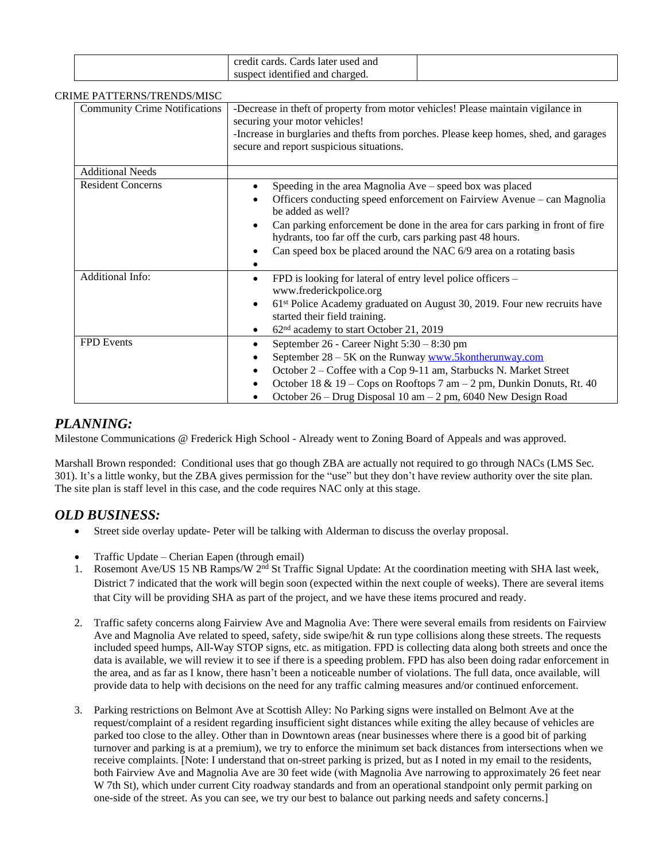| ards later used and .<br>$\alpha$ r $\alpha$<br>cards. |  |
|--------------------------------------------------------|--|
| t identified and charged.<br>nec<br>sust               |  |

#### CRIME PATTERNS/TRENDS/MISC

| INIE I AT LEINNY TREINDS/MISC        |                                                                                                                                                                                                            |  |  |
|--------------------------------------|------------------------------------------------------------------------------------------------------------------------------------------------------------------------------------------------------------|--|--|
| <b>Community Crime Notifications</b> | -Decrease in theft of property from motor vehicles! Please maintain vigilance in<br>securing your motor vehicles!<br>-Increase in burglaries and thefts from porches. Please keep homes, shed, and garages |  |  |
|                                      | secure and report suspicious situations.                                                                                                                                                                   |  |  |
| <b>Additional Needs</b>              |                                                                                                                                                                                                            |  |  |
| <b>Resident Concerns</b>             | Speeding in the area Magnolia Ave – speed box was placed                                                                                                                                                   |  |  |
|                                      | Officers conducting speed enforcement on Fairview Avenue – can Magnolia<br>be added as well?                                                                                                               |  |  |
|                                      | Can parking enforcement be done in the area for cars parking in front of fire<br>hydrants, too far off the curb, cars parking past 48 hours.                                                               |  |  |
|                                      | Can speed box be placed around the NAC 6/9 area on a rotating basis                                                                                                                                        |  |  |
| <b>Additional Info:</b>              | FPD is looking for lateral of entry level police officers –<br>٠<br>www.frederickpolice.org                                                                                                                |  |  |
|                                      | $61st$ Police Academy graduated on August 30, 2019. Four new recruits have<br>$\bullet$<br>started their field training.                                                                                   |  |  |
|                                      | 62 <sup>nd</sup> academy to start October 21, 2019                                                                                                                                                         |  |  |
| <b>FPD</b> Events                    | September 26 - Career Night 5:30 - 8:30 pm<br>٠                                                                                                                                                            |  |  |
|                                      | September 28 – 5K on the Runway www.5kontherunway.com                                                                                                                                                      |  |  |
|                                      | October 2 - Coffee with a Cop 9-11 am, Starbucks N. Market Street<br>$\bullet$                                                                                                                             |  |  |
|                                      | October 18 & 19 – Cops on Rooftops 7 am – 2 pm, Dunkin Donuts, Rt. 40<br>$\bullet$                                                                                                                         |  |  |
|                                      | October 26 – Drug Disposal 10 am – 2 pm, 6040 New Design Road                                                                                                                                              |  |  |

#### *PLANNING:*

Milestone Communications @ Frederick High School - Already went to Zoning Board of Appeals and was approved.

Marshall Brown responded: Conditional uses that go though ZBA are actually not required to go through NACs (LMS Sec. 301). It's a little wonky, but the ZBA gives permission for the "use" but they don't have review authority over the site plan. The site plan is staff level in this case, and the code requires NAC only at this stage.

#### *OLD BUSINESS:*

- Street side overlay update- Peter will be talking with Alderman to discuss the overlay proposal.
- Traffic Update Cherian Eapen (through email)
- 1. Rosemont Ave/US 15 NB Ramps/W 2<sup>nd</sup> St Traffic Signal Update: At the coordination meeting with SHA last week, District 7 indicated that the work will begin soon (expected within the next couple of weeks). There are several items that City will be providing SHA as part of the project, and we have these items procured and ready.
- 2. Traffic safety concerns along Fairview Ave and Magnolia Ave: There were several emails from residents on Fairview Ave and Magnolia Ave related to speed, safety, side swipe/hit & run type collisions along these streets. The requests included speed humps, All-Way STOP signs, etc. as mitigation. FPD is collecting data along both streets and once the data is available, we will review it to see if there is a speeding problem. FPD has also been doing radar enforcement in the area, and as far as I know, there hasn't been a noticeable number of violations. The full data, once available, will provide data to help with decisions on the need for any traffic calming measures and/or continued enforcement.
- 3. Parking restrictions on Belmont Ave at Scottish Alley: No Parking signs were installed on Belmont Ave at the request/complaint of a resident regarding insufficient sight distances while exiting the alley because of vehicles are parked too close to the alley. Other than in Downtown areas (near businesses where there is a good bit of parking turnover and parking is at a premium), we try to enforce the minimum set back distances from intersections when we receive complaints. [Note: I understand that on-street parking is prized, but as I noted in my email to the residents, both Fairview Ave and Magnolia Ave are 30 feet wide (with Magnolia Ave narrowing to approximately 26 feet near W 7th St), which under current City roadway standards and from an operational standpoint only permit parking on one-side of the street. As you can see, we try our best to balance out parking needs and safety concerns.]